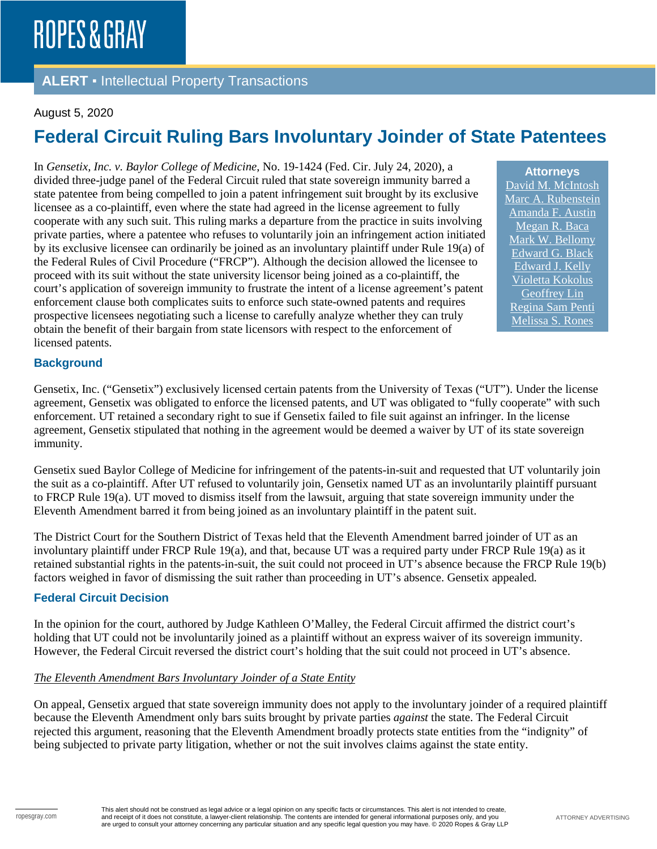### **ALERT** ▪ Intellectual Property Transactions

### August 5, 2020

# **Federal Circuit Ruling Bars Involuntary Joinder of State Patentees**

In *Gensetix, Inc. v. Baylor College of Medicine*, No. 19-1424 (Fed. Cir. July 24, 2020), a divided three-judge panel of the Federal Circuit ruled that state sovereign immunity barred a state patentee from being compelled to join a patent infringement suit brought by its exclusive licensee as a co-plaintiff, even where the state had agreed in the license agreement to fully cooperate with any such suit. This ruling marks a departure from the practice in suits involving private parties, where a patentee who refuses to voluntarily join an infringement action initiated by its exclusive licensee can ordinarily be joined as an involuntary plaintiff under Rule 19(a) of the Federal Rules of Civil Procedure ("FRCP"). Although the decision allowed the licensee to proceed with its suit without the state university licensor being joined as a co-plaintiff, the court's application of sovereign immunity to frustrate the intent of a license agreement's patent enforcement clause both complicates suits to enforce such state-owned patents and requires prospective licensees negotiating such a license to carefully analyze whether they can truly obtain the benefit of their bargain from state licensors with respect to the enforcement of licensed patents.

**Attorneys** [David M. McIntosh](https://www.ropesgray.com/en/biographies/m/McIntosh-David) [Marc A. Rubenstein](https://www.ropesgray.com/en/biographies/r/marc-a-rubenstein) [Amanda F. Austin](https://www.ropesgray.com/en/biographies/a/amanda-f-austin) [Megan R. Baca](https://www.ropesgray.com/en/biographies/b/megan-r-baca) [Mark W. Bellomy](https://www.ropesgray.com/en/biographies/b/mark-w-bellomy) [Edward G. Black](https://www.ropesgray.com/en/biographies/b/edward-g-black) [Edward J. Kelly](https://www.ropesgray.com/en/biographies/k/Kelly-Edward) [Violetta Kokolus](https://www.ropesgray.com/en/biographies/k/violetta-kokolus) [Geoffrey Lin](https://www.ropesgray.com/en/biographies/l/geoffrey-lin) [Regina Sam Penti](https://www.ropesgray.com/en/biographies/p/regina-sam-penti) [Melissa S. Rones](https://www.ropesgray.com/en/biographies/r/melissa-s-rones)

### **Background**

Gensetix, Inc. ("Gensetix") exclusively licensed certain patents from the University of Texas ("UT"). Under the license agreement, Gensetix was obligated to enforce the licensed patents, and UT was obligated to "fully cooperate" with such enforcement. UT retained a secondary right to sue if Gensetix failed to file suit against an infringer. In the license agreement, Gensetix stipulated that nothing in the agreement would be deemed a waiver by UT of its state sovereign immunity.

Gensetix sued Baylor College of Medicine for infringement of the patents-in-suit and requested that UT voluntarily join the suit as a co-plaintiff. After UT refused to voluntarily join, Gensetix named UT as an involuntarily plaintiff pursuant to FRCP Rule 19(a). UT moved to dismiss itself from the lawsuit, arguing that state sovereign immunity under the Eleventh Amendment barred it from being joined as an involuntary plaintiff in the patent suit.

The District Court for the Southern District of Texas held that the Eleventh Amendment barred joinder of UT as an involuntary plaintiff under FRCP Rule 19(a), and that, because UT was a required party under FRCP Rule 19(a) as it retained substantial rights in the patents-in-suit, the suit could not proceed in UT's absence because the FRCP Rule 19(b) factors weighed in favor of dismissing the suit rather than proceeding in UT's absence. Gensetix appealed.

### **Federal Circuit Decision**

In the opinion for the court, authored by Judge Kathleen O'Malley, the Federal Circuit affirmed the district court's holding that UT could not be involuntarily joined as a plaintiff without an express waiver of its sovereign immunity. However, the Federal Circuit reversed the district court's holding that the suit could not proceed in UT's absence.

#### *The Eleventh Amendment Bars Involuntary Joinder of a State Entity*

On appeal, Gensetix argued that state sovereign immunity does not apply to the involuntary joinder of a required plaintiff because the Eleventh Amendment only bars suits brought by private parties *against* the state. The Federal Circuit rejected this argument, reasoning that the Eleventh Amendment broadly protects state entities from the "indignity" of being subjected to private party litigation, whether or not the suit involves claims against the state entity.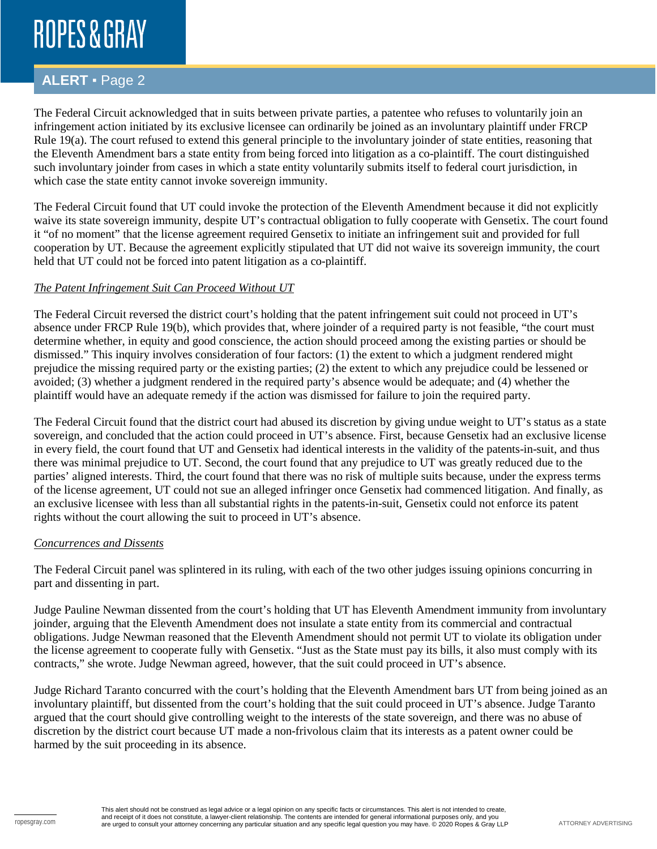# ROPES & GRAY

## **ALERT** ▪ Page 2

The Federal Circuit acknowledged that in suits between private parties, a patentee who refuses to voluntarily join an infringement action initiated by its exclusive licensee can ordinarily be joined as an involuntary plaintiff under FRCP Rule 19(a). The court refused to extend this general principle to the involuntary joinder of state entities, reasoning that the Eleventh Amendment bars a state entity from being forced into litigation as a co-plaintiff. The court distinguished such involuntary joinder from cases in which a state entity voluntarily submits itself to federal court jurisdiction, in which case the state entity cannot invoke sovereign immunity.

The Federal Circuit found that UT could invoke the protection of the Eleventh Amendment because it did not explicitly waive its state sovereign immunity, despite UT's contractual obligation to fully cooperate with Gensetix. The court found it "of no moment" that the license agreement required Gensetix to initiate an infringement suit and provided for full cooperation by UT. Because the agreement explicitly stipulated that UT did not waive its sovereign immunity, the court held that UT could not be forced into patent litigation as a co-plaintiff.

### *The Patent Infringement Suit Can Proceed Without UT*

The Federal Circuit reversed the district court's holding that the patent infringement suit could not proceed in UT's absence under FRCP Rule 19(b), which provides that, where joinder of a required party is not feasible, "the court must determine whether, in equity and good conscience, the action should proceed among the existing parties or should be dismissed." This inquiry involves consideration of four factors: (1) the extent to which a judgment rendered might prejudice the missing required party or the existing parties; (2) the extent to which any prejudice could be lessened or avoided; (3) whether a judgment rendered in the required party's absence would be adequate; and (4) whether the plaintiff would have an adequate remedy if the action was dismissed for failure to join the required party.

The Federal Circuit found that the district court had abused its discretion by giving undue weight to UT's status as a state sovereign, and concluded that the action could proceed in UT's absence. First, because Gensetix had an exclusive license in every field, the court found that UT and Gensetix had identical interests in the validity of the patents-in-suit, and thus there was minimal prejudice to UT. Second, the court found that any prejudice to UT was greatly reduced due to the parties' aligned interests. Third, the court found that there was no risk of multiple suits because, under the express terms of the license agreement, UT could not sue an alleged infringer once Gensetix had commenced litigation. And finally, as an exclusive licensee with less than all substantial rights in the patents-in-suit, Gensetix could not enforce its patent rights without the court allowing the suit to proceed in UT's absence.

### *Concurrences and Dissents*

The Federal Circuit panel was splintered in its ruling, with each of the two other judges issuing opinions concurring in part and dissenting in part.

Judge Pauline Newman dissented from the court's holding that UT has Eleventh Amendment immunity from involuntary joinder, arguing that the Eleventh Amendment does not insulate a state entity from its commercial and contractual obligations. Judge Newman reasoned that the Eleventh Amendment should not permit UT to violate its obligation under the license agreement to cooperate fully with Gensetix. "Just as the State must pay its bills, it also must comply with its contracts," she wrote. Judge Newman agreed, however, that the suit could proceed in UT's absence.

Judge Richard Taranto concurred with the court's holding that the Eleventh Amendment bars UT from being joined as an involuntary plaintiff, but dissented from the court's holding that the suit could proceed in UT's absence. Judge Taranto argued that the court should give controlling weight to the interests of the state sovereign, and there was no abuse of discretion by the district court because UT made a non-frivolous claim that its interests as a patent owner could be harmed by the suit proceeding in its absence.